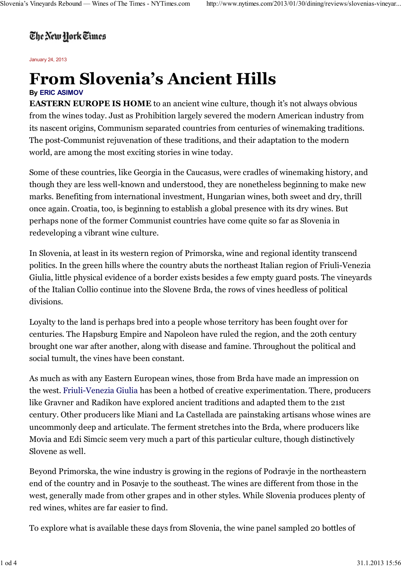## The New York Times

January 24, 2013

## **From Slovenia's Ancient Hills**

## **By ERIC ASIMOV**

**EASTERN EUROPE IS HOME** to an ancient wine culture, though it's not always obvious from the wines today. Just as Prohibition largely severed the modern American industry from its nascent origins, Communism separated countries from centuries of winemaking traditions. The post-Communist rejuvenation of these traditions, and their adaptation to the modern world, are among the most exciting stories in wine today.

Some of these countries, like Georgia in the Caucasus, were cradles of winemaking history, and though they are less well-known and understood, they are nonetheless beginning to make new marks. Benefiting from international investment, Hungarian wines, both sweet and dry, thrill once again. Croatia, too, is beginning to establish a global presence with its dry wines. But perhaps none of the former Communist countries have come quite so far as Slovenia in redeveloping a vibrant wine culture.

In Slovenia, at least in its western region of Primorska, wine and regional identity transcend politics. In the green hills where the country abuts the northeast Italian region of Friuli-Venezia Giulia, little physical evidence of a border exists besides a few empty guard posts. The vineyards of the Italian Collio continue into the Slovene Brda, the rows of vines heedless of political divisions.

Loyalty to the land is perhaps bred into a people whose territory has been fought over for centuries. The Hapsburg Empire and Napoleon have ruled the region, and the 20th century brought one war after another, along with disease and famine. Throughout the political and social tumult, the vines have been constant.

As much as with any Eastern European wines, those from Brda have made an impression on the west. Friuli-Venezia Giulia has been a hotbed of creative experimentation. There, producers like Gravner and Radikon have explored ancient traditions and adapted them to the 21st century. Other producers like Miani and La Castellada are painstaking artisans whose wines are uncommonly deep and articulate. The ferment stretches into the Brda, where producers like Movia and Edi Simcic seem very much a part of this particular culture, though distinctively Slovene as well.

Beyond Primorska, the wine industry is growing in the regions of Podravje in the northeastern end of the country and in Posavje to the southeast. The wines are different from those in the west, generally made from other grapes and in other styles. While Slovenia produces plenty of red wines, whites are far easier to find.

To explore what is available these days from Slovenia, the wine panel sampled 20 bottles of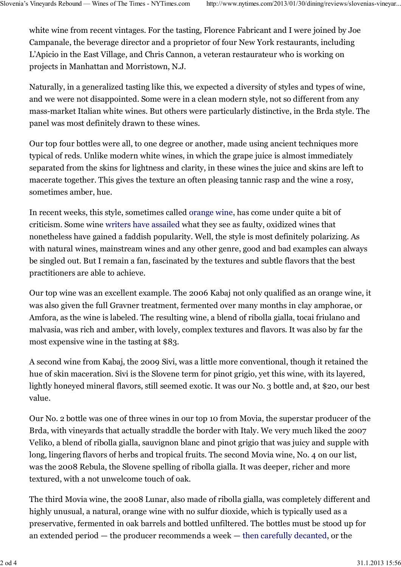white wine from recent vintages. For the tasting, Florence Fabricant and I were joined by Joe Campanale, the beverage director and a proprietor of four New York restaurants, including L'Apicio in the East Village, and Chris Cannon, a veteran restaurateur who is working on projects in Manhattan and Morristown, N.J.

Naturally, in a generalized tasting like this, we expected a diversity of styles and types of wine, and we were not disappointed. Some were in a clean modern style, not so different from any mass-market Italian white wines. But others were particularly distinctive, in the Brda style. The panel was most definitely drawn to these wines.

Our top four bottles were all, to one degree or another, made using ancient techniques more typical of reds. Unlike modern white wines, in which the grape juice is almost immediately separated from the skins for lightness and clarity, in these wines the juice and skins are left to macerate together. This gives the texture an often pleasing tannic rasp and the wine a rosy, sometimes amber, hue.

In recent weeks, this style, sometimes called orange wine, has come under quite a bit of criticism. Some wine writers have assailed what they see as faulty, oxidized wines that nonetheless have gained a faddish popularity. Well, the style is most definitely polarizing. As with natural wines, mainstream wines and any other genre, good and bad examples can always be singled out. But I remain a fan, fascinated by the textures and subtle flavors that the best practitioners are able to achieve.

Our top wine was an excellent example. The 2006 Kabaj not only qualified as an orange wine, it was also given the full Gravner treatment, fermented over many months in clay amphorae, or Amfora, as the wine is labeled. The resulting wine, a blend of ribolla gialla, tocai friulano and malvasia, was rich and amber, with lovely, complex textures and flavors. It was also by far the most expensive wine in the tasting at \$83.

A second wine from Kabaj, the 2009 Sivi, was a little more conventional, though it retained the hue of skin maceration. Sivi is the Slovene term for pinot grigio, yet this wine, with its layered, lightly honeyed mineral flavors, still seemed exotic. It was our No. 3 bottle and, at \$20, our best value.

Our No. 2 bottle was one of three wines in our top 10 from Movia, the superstar producer of the Brda, with vineyards that actually straddle the border with Italy. We very much liked the 2007 Veliko, a blend of ribolla gialla, sauvignon blanc and pinot grigio that was juicy and supple with long, lingering flavors of herbs and tropical fruits. The second Movia wine, No. 4 on our list, was the 2008 Rebula, the Slovene spelling of ribolla gialla. It was deeper, richer and more textured, with a not unwelcome touch of oak.

The third Movia wine, the 2008 Lunar, also made of ribolla gialla, was completely different and highly unusual, a natural, orange wine with no sulfur dioxide, which is typically used as a preservative, fermented in oak barrels and bottled unfiltered. The bottles must be stood up for an extended period — the producer recommends a week — then carefully decanted, or the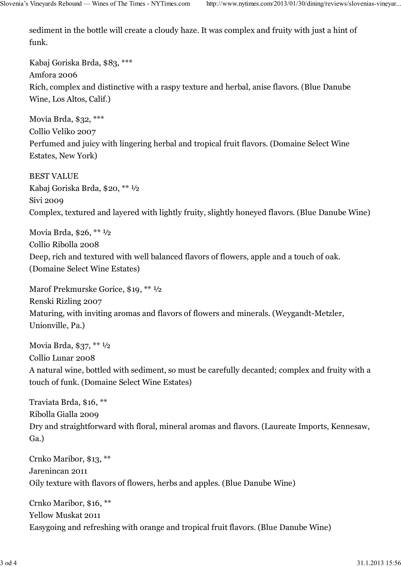sediment in the bottle will create a cloudy haze. It was complex and fruity with just a hint of funk.

Kabaj Goriska Brda, \$83, \*\*\* Amfora 2006 Rich, complex and distinctive with a raspy texture and herbal, anise flavors. (Blue Danube Wine, Los Altos, Calif.)

Movia Brda, \$32, \*\*\* Collio Veliko 2007 Perfumed and juicy with lingering herbal and tropical fruit flavors. (Domaine Select Wine Estates, New York)

BEST VALUE Kabaj Goriska Brda, \$20, \*\* ½ Sivi 2009 Complex, textured and layered with lightly fruity, slightly honeyed flavors. (Blue Danube Wine)

Movia Brda, \$26, \*\* ½ Collio Ribolla 2008 Deep, rich and textured with well balanced flavors of flowers, apple and a touch of oak. (Domaine Select Wine Estates)

Marof Prekmurske Gorice, \$19, \*\* ½ Renski Rizling 2007 Maturing, with inviting aromas and flavors of flowers and minerals. (Weygandt-Metzler, Unionville, Pa.)

Movia Brda, \$37, \*\* ½ Collio Lunar 2008 A natural wine, bottled with sediment, so must be carefully decanted; complex and fruity with a touch of funk. (Domaine Select Wine Estates)

Traviata Brda, \$16, \*\* Ribolla Gialla 2009 Dry and straightforward with floral, mineral aromas and flavors. (Laureate Imports, Kennesaw, Ga.)

Crnko Maribor, \$13, \*\* Jarenincan 2011 Oily texture with flavors of flowers, herbs and apples. (Blue Danube Wine)

Crnko Maribor, \$16, \*\* Yellow Muskat 2011 Easygoing and refreshing with orange and tropical fruit flavors. (Blue Danube Wine)